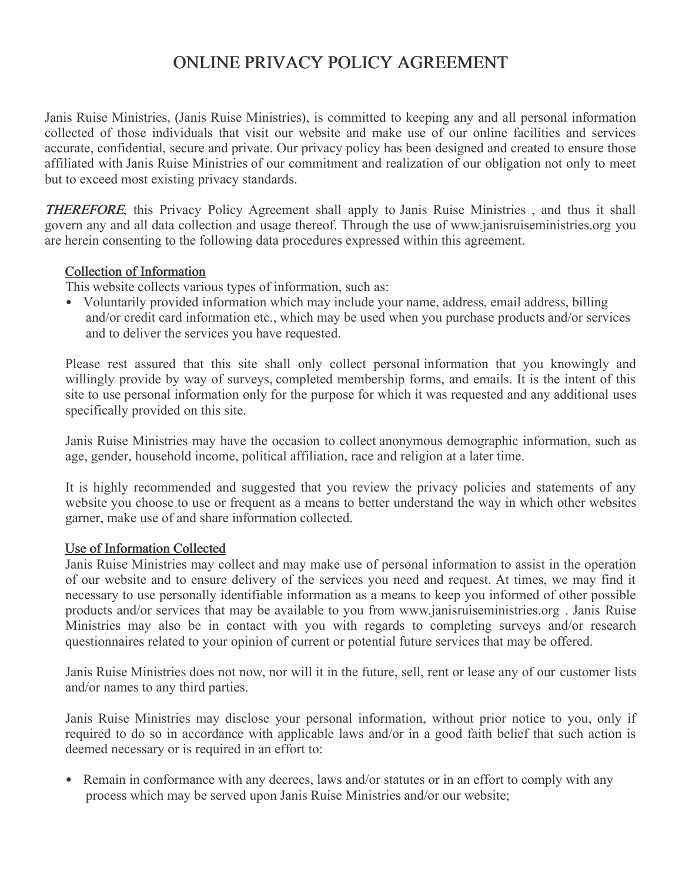# ONLINE PRIVACY POLICY AGREEMENT

Janis Ruise Ministries, (Janis Ruise Ministries), is committed to keeping any and all personal information collected of those individuals that visit our website and make use of our online facilities and services accurate, confidential, secure and private. Our privacy policy has been designed and created to ensure those affiliated with Janis Ruise Ministries of our commitment and realization of our obligation not only to meet but to exceed most existing privacy standards.

THEREFORE, this Privacy Policy Agreement shall apply to Janis Ruise Ministries , and thus it shall govern any and all data collection and usage thereof. Through the use of www.janisruiseministries.org you are herein consenting to the following data procedures expressed within this agreement.

## Collection of Information

This website collects various types of information, such as:

• Voluntarily provided information which may include your name, address, email address, billing and/or credit card information etc., which may be used when you purchase products and/or services and to deliver the services you have requested.

Please rest assured that this site shall only collect personal information that you knowingly and willingly provide by way of surveys, completed membership forms, and emails. It is the intent of this site to use personal information only for the purpose for which it was requested and any additional uses specifically provided on this site.

Janis Ruise Ministries may have the occasion to collect anonymous demographic information, such as age, gender, household income, political affiliation, race and religion at a later time.

It is highly recommended and suggested that you review the privacy policies and statements of any website you choose to use or frequent as a means to better understand the way in which other websites garner, make use of and share information collected.

## Use of Information Collected

Janis Ruise Ministries may collect and may make use of personal information to assist in the operation of our website and to ensure delivery of the services you need and request. At times, we may find it necessary to use personally identifiable information as a means to keep you informed of other possible products and/or services that may be available to you from www.janisruiseministries.org . Janis Ruise Ministries may also be in contact with you with regards to completing surveys and/or research questionnaires related to your opinion of current or potential future services that may be offered.

Janis Ruise Ministries does not now, nor will it in the future, sell, rent or lease any of our customer lists and/or names to any third parties.

Janis Ruise Ministries may disclose your personal information, without prior notice to you, only if required to do so in accordance with applicable laws and/or in a good faith belief that such action is deemed necessary or is required in an effort to:

• Remain in conformance with any decrees, laws and/or statutes or in an effort to comply with any process which may be served upon Janis Ruise Ministries and/or our website;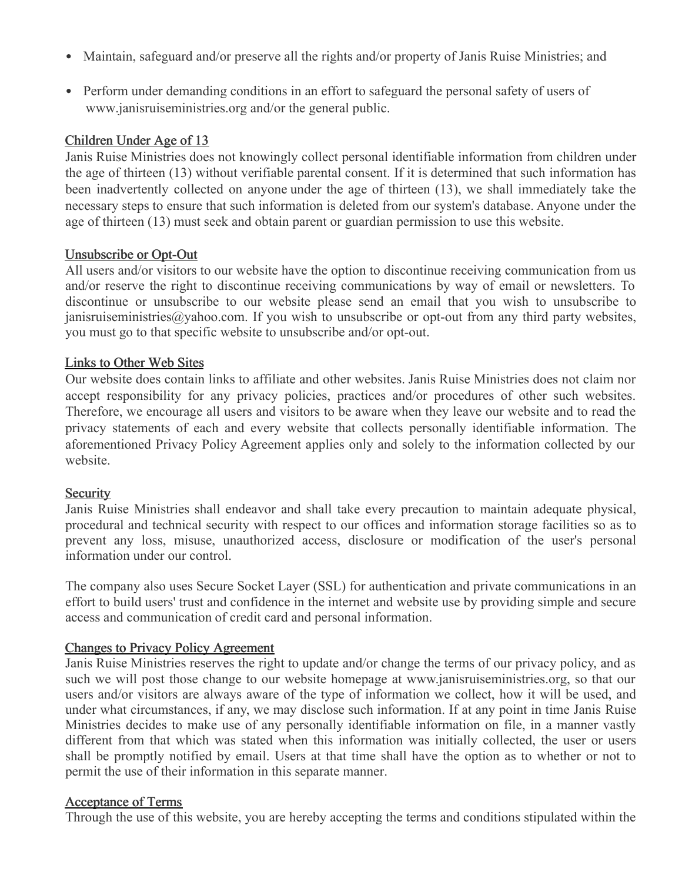- Maintain, safeguard and/or preserve all the rights and/or property of Janis Ruise Ministries; and
- Perform under demanding conditions in an effort to safeguard the personal safety of users of www.janisruiseministries.org and/or the general public.

# Children Under Age of 13

Janis Ruise Ministries does not knowingly collect personal identifiable information from children under the age of thirteen (13) without verifiable parental consent. If it is determined that such information has been inadvertently collected on anyone under the age of thirteen (13), we shall immediately take the necessary steps to ensure that such information is deleted from our system's database. Anyone under the age of thirteen (13) must seek and obtain parent or guardian permission to use this website.

## Unsubscribe or Opt-Out

All users and/or visitors to our website have the option to discontinue receiving communication from us and/or reserve the right to discontinue receiving communications by way of email or newsletters. To discontinue or unsubscribe to our website please send an email that you wish to unsubscribe to janisruiseministries@yahoo.com. If you wish to unsubscribe or opt-out from any third party websites, you must go to that specific website to unsubscribe and/or opt-out.

## Links to Other Web Sites

Our website does contain links to affiliate and other websites. Janis Ruise Ministries does not claim nor accept responsibility for any privacy policies, practices and/or procedures of other such websites. Therefore, we encourage all users and visitors to be aware when they leave our website and to read the privacy statements of each and every website that collects personally identifiable information. The aforementioned Privacy Policy Agreement applies only and solely to the information collected by our website.

#### **Security**

Janis Ruise Ministries shall endeavor and shall take every precaution to maintain adequate physical, procedural and technical security with respect to our offices and information storage facilities so as to prevent any loss, misuse, unauthorized access, disclosure or modification of the user's personal information under our control.

The company also uses Secure Socket Layer (SSL) for authentication and private communications in an effort to build users' trust and confidence in the internet and website use by providing simple and secure access and communication of credit card and personal information.

## Changes to Privacy Policy Agreement

Janis Ruise Ministries reserves the right to update and/or change the terms of our privacy policy, and as such we will post those change to our website homepage at www.janisruiseministries.org, so that our users and/or visitors are always aware of the type of information we collect, how it will be used, and under what circumstances, if any, we may disclose such information. If at any point in time Janis Ruise Ministries decides to make use of any personally identifiable information on file, in a manner vastly different from that which was stated when this information was initially collected, the user or users shall be promptly notified by email. Users at that time shall have the option as to whether or not to permit the use of their information in this separate manner.

#### Acceptance of Terms

Through the use of this website, you are hereby accepting the terms and conditions stipulated within the